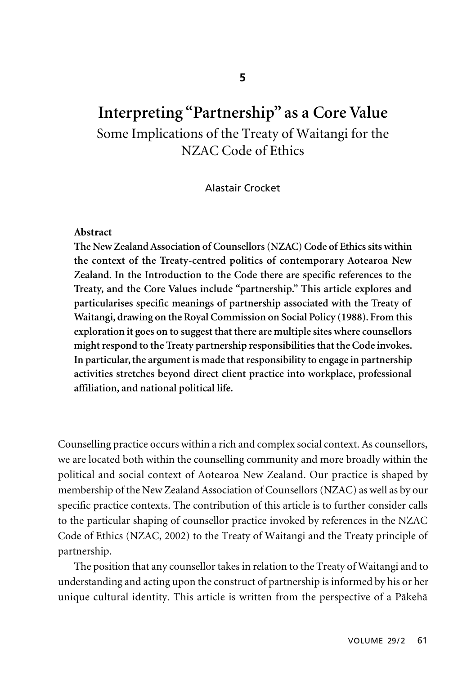# **Interpreting "Partnership" as a Core Value** Some Implications of the Treaty of Waitangi for the NZAC Code of Ethics

## Alastair Crocket

#### **Abstract**

**The New Zealand Association of Counsellors (NZAC) Code of Ethics sits within the context of the Treaty-centred politics of contemporary Aotearoa New Zealand. In the Introduction to the Code there are specific references to the Treaty, and the Core Values include "partnership." This article explores and particularises specific meanings of partnership associated with the Treaty of Waitangi, drawing on the Royal Commission on Social Policy (1988). From this exploration it goes on to suggest that there are multiple sites where counsellors might respond to the Treaty partnership responsibilities that the Code invokes. In particular, the argument is made that responsibility to engage in partnership activities stretches beyond direct client practice into workplace, professional affiliation, and national political life.**

Counselling practice occurs within a rich and complex social context. As counsellors, we are located both within the counselling community and more broadly within the political and social context of Aotearoa New Zealand. Our practice is shaped by membership of the New Zealand Association of Counsellors (NZAC) as well as by our specific practice contexts. The contribution of this article is to further consider calls to the particular shaping of counsellor practice invoked by references in the NZAC Code of Ethics (NZAC, 2002) to the Treaty of Waitangi and the Treaty principle of partnership.

The position that any counsellor takes in relation to the Treaty of Waitangi and to understanding and acting upon the construct of partnership is informed by his or her unique cultural identity. This article is written from the perspective of a Päkehä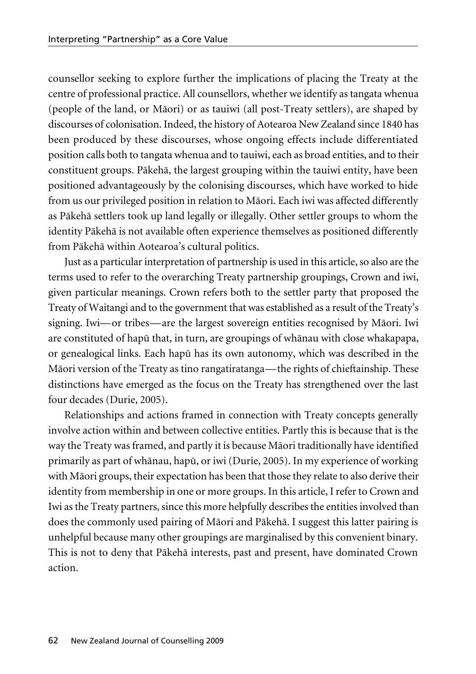counsellor seeking to explore further the implications of placing the Treaty at the centre of professional practice. All counsellors, whether we identify as tangata whenua (people of the land, or Mäori) or as tauiwi (all post-Treaty settlers), are shaped by discourses of colonisation. Indeed, the history of Aotearoa New Zealand since 1840 has been produced by these discourses, whose ongoing effects include differentiated position calls both to tangata whenua and to tauiwi, each as broad entities, and to their constituent groups. Päkehä, the largest grouping within the tauiwi entity, have been positioned advantageously by the colonising discourses, which have worked to hide from us our privileged position in relation to Mäori. Each iwi was affected differently as Päkehä settlers took up land legally or illegally. Other settler groups to whom the identity Päkehä is not available often experience themselves as positioned differently from Päkehä within Aotearoa's cultural politics.

Just as a particular interpretation of partnership is used in this article, so also are the terms used to refer to the overarching Treaty partnership groupings, Crown and iwi, given particular meanings. Crown refers both to the settler party that proposed the Treaty of Waitangi and to the government that was established as a result of the Treaty's signing. Iwi—or tribes—are the largest sovereign entities recognised by Mäori. Iwi are constituted of hapü that, in turn, are groupings of whänau with close whakapapa, or genealogical links. Each hapü has its own autonomy, which was described in the Mäori version of the Treaty as tino rangatiratanga—the rights of chieftainship. These distinctions have emerged as the focus on the Treaty has strengthened over the last four decades (Durie, 2005).

Relationships and actions framed in connection with Treaty concepts generally involve action within and between collective entities. Partly this is because that is the way the Treaty was framed, and partly it is because Mäori traditionally have identified primarily as part of whänau, hapü, or iwi (Durie, 2005). In my experience of working with Mäori groups, their expectation has been that those they relate to also derive their identity from membership in one or more groups. In this article, I refer to Crown and Iwi as the Treaty partners, since this more helpfully describes the entities involved than does the commonly used pairing of Mäori and Päkehä. I suggest this latter pairing is unhelpful because many other groupings are marginalised by this convenient binary. This is not to deny that Päkehä interests, past and present, have dominated Crown action.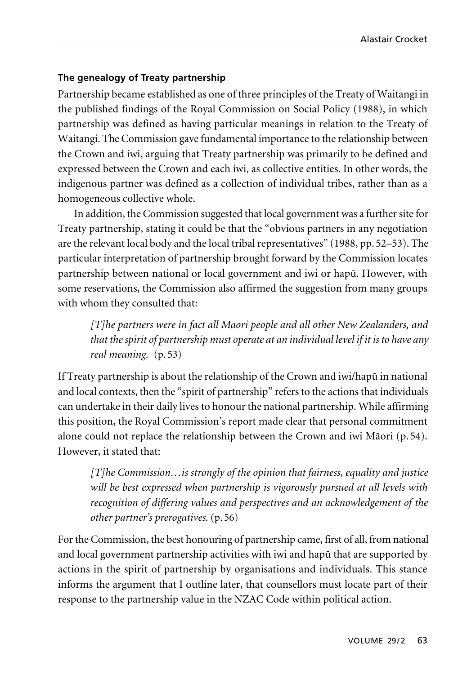# **The genealogy of Treaty partnership**

Partnership became established as one of three principles of the Treaty of Waitangi in the published findings of the Royal Commission on Social Policy (1988), in which partnership was defined as having particular meanings in relation to the Treaty of Waitangi. The Commission gave fundamental importance to the relationship between the Crown and iwi, arguing that Treaty partnership was primarily to be defined and expressed between the Crown and each iwi, as collective entities. In other words, the indigenous partner was defined as a collection of individual tribes, rather than as a homogeneous collective whole.

In addition, the Commission suggested that local government was a further site for Treaty partnership, stating it could be that the "obvious partners in any negotiation are the relevant local body and the local tribal representatives" (1988, pp. 52–53). The particular interpretation of partnership brought forward by the Commission locates partnership between national or local government and iwi or hapü. However, with some reservations, the Commission also affirmed the suggestion from many groups with whom they consulted that:

*[T]he partners were in fact all Maori people and all other New Zealanders, and that the spirit of partnership must operate at an individual level if it is to have any real meaning.* (p. 53)

If Treaty partnership is about the relationship of the Crown and iwi/hapü in national and local contexts, then the "spirit of partnership" refers to the actions that individuals can undertake in their daily lives to honour the national partnership. While affirming this position, the Royal Commission's report made clear that personal commitment alone could not replace the relationship between the Crown and iwi Mäori (p. 54). However, it stated that:

*[T]he Commission…is strongly of the opinion that fairness, equality and justice will be best expressed when partnership is vigorously pursued at all levels with recognition of differing values and perspectives and an acknowledgement of the other partner's prerogatives.* (p. 56)

For the Commission, the best honouring of partnership came, first of all, from national and local government partnership activities with iwi and hapü that are supported by actions in the spirit of partnership by organisations and individuals. This stance informs the argument that I outline later, that counsellors must locate part of their response to the partnership value in the NZAC Code within political action.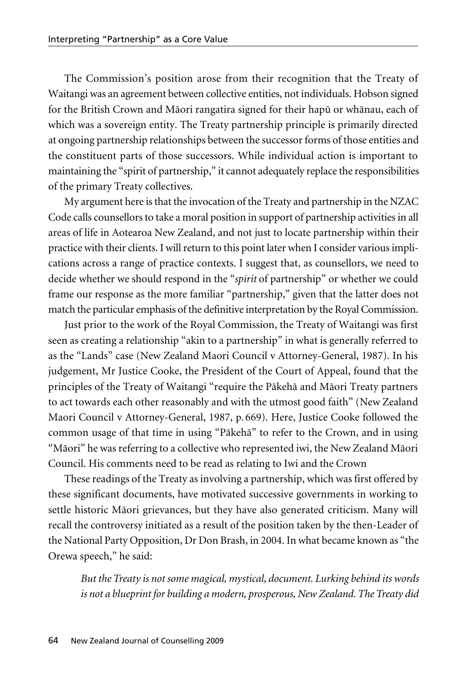The Commission's position arose from their recognition that the Treaty of Waitangi was an agreement between collective entities, not individuals. Hobson signed for the British Crown and Mäori rangatira signed for their hapü or whänau, each of which was a sovereign entity. The Treaty partnership principle is primarily directed at ongoing partnership relationships between the successor forms of those entities and the constituent parts of those successors. While individual action is important to maintaining the "spirit of partnership," it cannot adequately replace the responsibilities of the primary Treaty collectives.

My argument here is that the invocation of the Treaty and partnership in the NZAC Code calls counsellors to take a moral position in support of partnership activities in all areas of life in Aotearoa New Zealand, and not just to locate partnership within their practice with their clients. I will return to this point later when I consider various implications across a range of practice contexts. I suggest that, as counsellors, we need to decide whether we should respond in the "*spirit* of partnership" or whether we could frame our response as the more familiar "partnership," given that the latter does not match the particular emphasis of the definitive interpretation by the Royal Commission.

Just prior to the work of the Royal Commission, the Treaty of Waitangi was first seen as creating a relationship "akin to a partnership" in what is generally referred to as the "Lands" case (New Zealand Maori Council v Attorney-General, 1987). In his judgement, Mr Justice Cooke, the President of the Court of Appeal, found that the principles of the Treaty of Waitangi "require the Päkehä and Mäori Treaty partners to act towards each other reasonably and with the utmost good faith" (New Zealand Maori Council v Attorney-General, 1987, p. 669). Here, Justice Cooke followed the common usage of that time in using "Päkehä" to refer to the Crown, and in using "Mäori" he was referring to a collective who represented iwi, the New Zealand Mäori Council. His comments need to be read as relating to Iwi and the Crown

These readings of the Treaty as involving a partnership, which was first offered by these significant documents, have motivated successive governments in working to settle historic Mäori grievances, but they have also generated criticism. Many will recall the controversy initiated as a result of the position taken by the then-Leader of the National Party Opposition, Dr Don Brash, in 2004. In what became known as "the Orewa speech," he said:

*But the Treaty is not some magical, mystical, document. Lurking behind its words is not a blueprint for building a modern, prosperous, New Zealand. The Treaty did*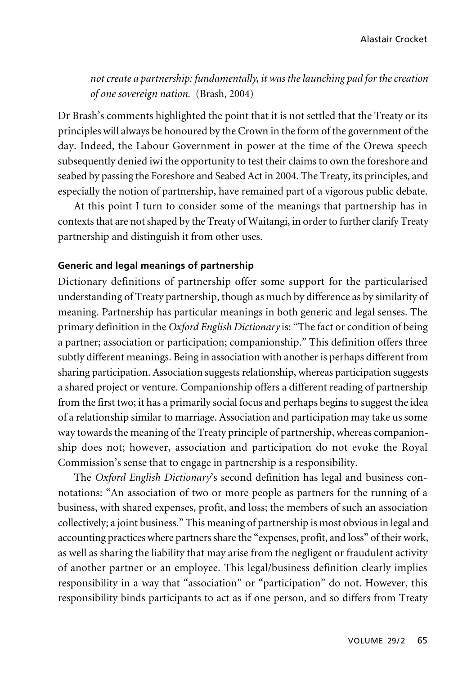*not create a partnership: fundamentally, it was the launching pad for the creation of one sovereign nation.* (Brash, 2004)

Dr Brash's comments highlighted the point that it is not settled that the Treaty or its principles will always be honoured by the Crown in the form of the government of the day. Indeed, the Labour Government in power at the time of the Orewa speech subsequently denied iwi the opportunity to test their claims to own the foreshore and seabed by passing the Foreshore and Seabed Act in 2004. The Treaty, its principles, and especially the notion of partnership, have remained part of a vigorous public debate.

At this point I turn to consider some of the meanings that partnership has in contexts that are not shaped by the Treaty of Waitangi, in order to further clarify Treaty partnership and distinguish it from other uses.

### **Generic and legal meanings of partnership**

Dictionary definitions of partnership offer some support for the particularised understanding of Treaty partnership, though as much by difference as by similarity of meaning. Partnership has particular meanings in both generic and legal senses. The primary definition in the *Oxford English Dictionary* is: "The fact or condition of being a partner; association or participation; companionship." This definition offers three subtly different meanings. Being in association with another is perhaps different from sharing participation. Association suggests relationship, whereas participation suggests a shared project or venture. Companionship offers a different reading of partnership from the first two; it has a primarily social focus and perhaps begins to suggest the idea of a relationship similar to marriage. Association and participation may take us some way towards the meaning of the Treaty principle of partnership, whereas companionship does not; however, association and participation do not evoke the Royal Commission's sense that to engage in partnership is a responsibility.

The *Oxford English Dictionary's* second definition has legal and business connotations: "An association of two or more people as partners for the running of a business, with shared expenses, profit, and loss; the members of such an association collectively; a joint business." This meaning of partnership is most obvious in legal and accounting practices where partners share the "expenses, profit, and loss" of their work, as well as sharing the liability that may arise from the negligent or fraudulent activity of another partner or an employee. This legal/business definition clearly implies responsibility in a way that "association" or "participation" do not. However, this responsibility binds participants to act as if one person, and so differs from Treaty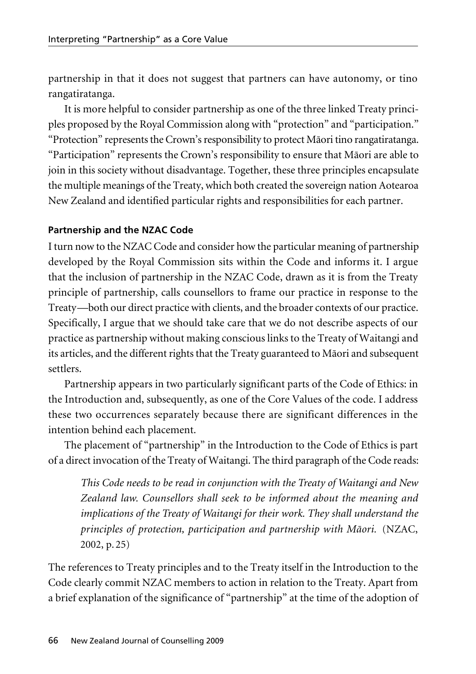partnership in that it does not suggest that partners can have autonomy, or tino rangatiratanga.

It is more helpful to consider partnership as one of the three linked Treaty principles proposed by the Royal Commission along with "protection" and "participation." "Protection" represents the Crown's responsibility to protect Mäori tino rangatiratanga. "Participation" represents the Crown's responsibility to ensure that Mäori are able to join in this society without disadvantage. Together, these three principles encapsulate the multiple meanings of the Treaty, which both created the sovereign nation Aotearoa New Zealand and identified particular rights and responsibilities for each partner.

# **Partnership and the NZAC Code**

I turn now to the NZAC Code and consider how the particular meaning of partnership developed by the Royal Commission sits within the Code and informs it. I argue that the inclusion of partnership in the NZAC Code, drawn as it is from the Treaty principle of partnership, calls counsellors to frame our practice in response to the Treaty—both our direct practice with clients, and the broader contexts of our practice. Specifically, I argue that we should take care that we do not describe aspects of our practice as partnership without making conscious links to the Treaty of Waitangi and its articles, and the different rights that the Treaty guaranteed to Mäori and subsequent settlers.

Partnership appears in two particularly significant parts of the Code of Ethics: in the Introduction and, subsequently, as one of the Core Values of the code. I address these two occurrences separately because there are significant differences in the intention behind each placement.

The placement of "partnership" in the Introduction to the Code of Ethics is part of a direct invocation of the Treaty of Waitangi. The third paragraph of the Code reads:

*This Code needs to be read in conjunction with the Treaty of Waitangi and New Zealand law. Counsellors shall seek to be informed about the meaning and implications of the Treaty of Waitangi for their work. They shall understand the principles of protection, participation and partnership with Mäori.* (NZAC, 2002, p. 25)

The references to Treaty principles and to the Treaty itself in the Introduction to the Code clearly commit NZAC members to action in relation to the Treaty. Apart from a brief explanation of the significance of "partnership" at the time of the adoption of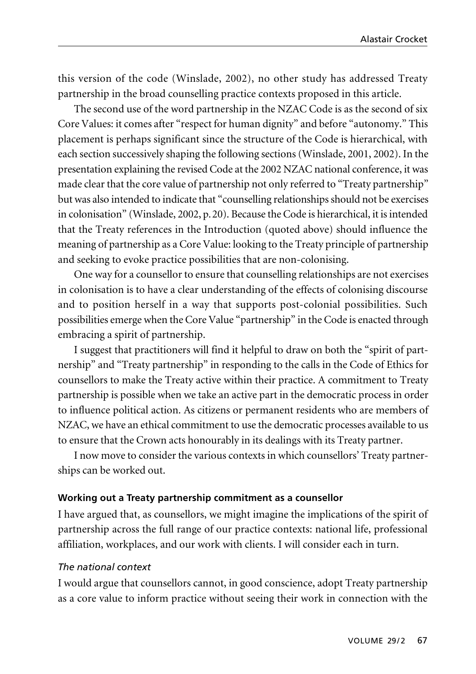this version of the code (Winslade, 2002), no other study has addressed Treaty partnership in the broad counselling practice contexts proposed in this article.

The second use of the word partnership in the NZAC Code is as the second of six Core Values: it comes after "respect for human dignity" and before "autonomy." This placement is perhaps significant since the structure of the Code is hierarchical, with each section successively shaping the following sections (Winslade, 2001, 2002). In the presentation explaining the revised Code at the 2002 NZAC national conference, it was made clear that the core value of partnership not only referred to "Treaty partnership" but was also intended to indicate that "counselling relationships should not be exercises in colonisation" (Winslade, 2002, p.20). Because the Code is hierarchical, it is intended that the Treaty references in the Introduction (quoted above) should influence the meaning of partnership as a Core Value: looking to the Treaty principle of partnership and seeking to evoke practice possibilities that are non-colonising.

One way for a counsellor to ensure that counselling relationships are not exercises in colonisation is to have a clear understanding of the effects of colonising discourse and to position herself in a way that supports post-colonial possibilities. Such possibilities emerge when the Core Value "partnership" in the Code is enacted through embracing a spirit of partnership.

I suggest that practitioners will find it helpful to draw on both the "spirit of partnership" and "Treaty partnership" in responding to the calls in the Code of Ethics for counsellors to make the Treaty active within their practice. A commitment to Treaty partnership is possible when we take an active part in the democratic process in order to influence political action. As citizens or permanent residents who are members of NZAC, we have an ethical commitment to use the democratic processes available to us to ensure that the Crown acts honourably in its dealings with its Treaty partner.

I now move to consider the various contexts in which counsellors' Treaty partnerships can be worked out.

## **Working out a Treaty partnership commitment as a counsellor**

I have argued that, as counsellors, we might imagine the implications of the spirit of partnership across the full range of our practice contexts: national life, professional affiliation, workplaces, and our work with clients. I will consider each in turn.

## *The national context*

I would argue that counsellors cannot, in good conscience, adopt Treaty partnership as a core value to inform practice without seeing their work in connection with the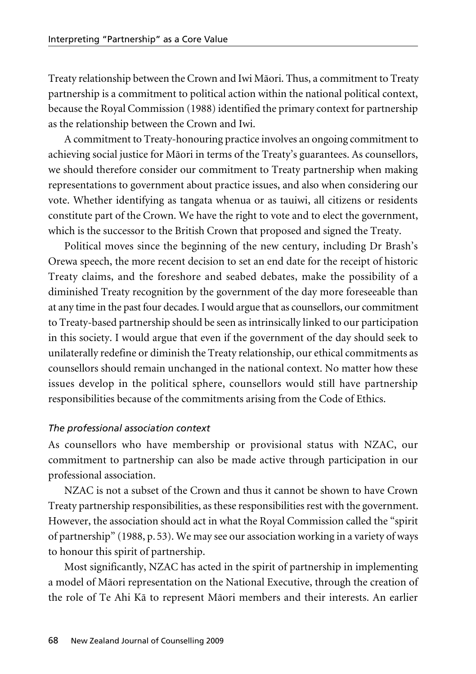Treaty relationship between the Crown and Iwi Mäori. Thus, a commitment to Treaty partnership is a commitment to political action within the national political context, because the Royal Commission (1988) identified the primary context for partnership as the relationship between the Crown and Iwi.

A commitment to Treaty-honouring practice involves an ongoing commitment to achieving social justice for Mäori in terms of the Treaty's guarantees. As counsellors, we should therefore consider our commitment to Treaty partnership when making representations to government about practice issues, and also when considering our vote. Whether identifying as tangata whenua or as tauiwi, all citizens or residents constitute part of the Crown. We have the right to vote and to elect the government, which is the successor to the British Crown that proposed and signed the Treaty.

Political moves since the beginning of the new century, including Dr Brash's Orewa speech, the more recent decision to set an end date for the receipt of historic Treaty claims, and the foreshore and seabed debates, make the possibility of a diminished Treaty recognition by the government of the day more foreseeable than at any time in the past four decades. I would argue that as counsellors, our commitment to Treaty-based partnership should be seen as intrinsically linked to our participation in this society. I would argue that even if the government of the day should seek to unilaterally redefine or diminish the Treaty relationship, our ethical commitments as counsellors should remain unchanged in the national context. No matter how these issues develop in the political sphere, counsellors would still have partnership responsibilities because of the commitments arising from the Code of Ethics.

# *The professional association context*

As counsellors who have membership or provisional status with NZAC, our commitment to partnership can also be made active through participation in our professional association.

NZAC is not a subset of the Crown and thus it cannot be shown to have Crown Treaty partnership responsibilities, as these responsibilities rest with the government. However, the association should act in what the Royal Commission called the "spirit of partnership" (1988, p. 53). We may see our association working in a variety of ways to honour this spirit of partnership.

Most significantly, NZAC has acted in the spirit of partnership in implementing a model of Mäori representation on the National Executive, through the creation of the role of Te Ahi Kä to represent Mäori members and their interests. An earlier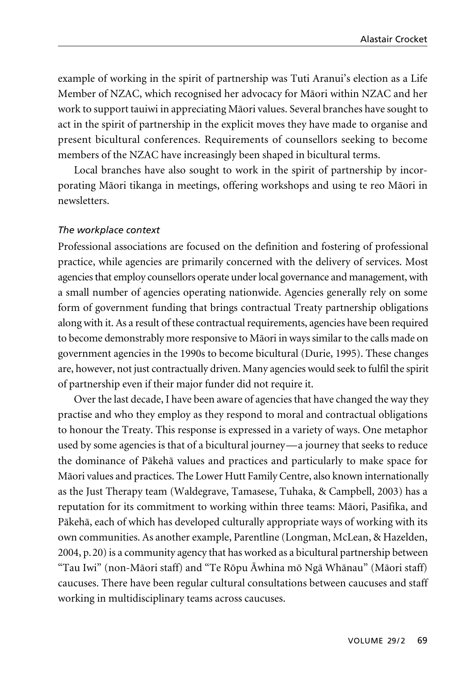example of working in the spirit of partnership was Tuti Aranui's election as a Life Member of NZAC, which recognised her advocacy for Mäori within NZAC and her work to support tauiwi in appreciating Mäori values. Several branches have sought to act in the spirit of partnership in the explicit moves they have made to organise and present bicultural conferences. Requirements of counsellors seeking to become members of the NZAC have increasingly been shaped in bicultural terms.

Local branches have also sought to work in the spirit of partnership by incorporating Mäori tikanga in meetings, offering workshops and using te reo Mäori in newsletters.

#### *The workplace context*

Professional associations are focused on the definition and fostering of professional practice, while agencies are primarily concerned with the delivery of services. Most agencies that employ counsellors operate under local governance and management, with a small number of agencies operating nationwide. Agencies generally rely on some form of government funding that brings contractual Treaty partnership obligations along with it. As a result of these contractual requirements, agencies have been required to become demonstrably more responsive to Mäori in ways similar to the calls made on government agencies in the 1990s to become bicultural (Durie, 1995). These changes are, however, not just contractually driven. Many agencies would seek to fulfil the spirit of partnership even if their major funder did not require it.

Over the last decade, I have been aware of agencies that have changed the way they practise and who they employ as they respond to moral and contractual obligations to honour the Treaty. This response is expressed in a variety of ways. One metaphor used by some agencies is that of a bicultural journey—a journey that seeks to reduce the dominance of Päkehä values and practices and particularly to make space for Mäori values and practices. The Lower Hutt Family Centre, also known internationally as the Just Therapy team (Waldegrave, Tamasese, Tuhaka, & Campbell, 2003) has a reputation for its commitment to working within three teams: Mäori, Pasifika, and Päkehä, each of which has developed culturally appropriate ways of working with its own communities. As another example, Parentline (Longman, McLean, & Hazelden, 2004, p.20) is a community agency that has worked as a bicultural partnership between "Tau Iwi" (non-Mäori staff) and "Te Röpu Äwhina mö Ngä Whänau" (Mäori staff) caucuses. There have been regular cultural consultations between caucuses and staff working in multidisciplinary teams across caucuses.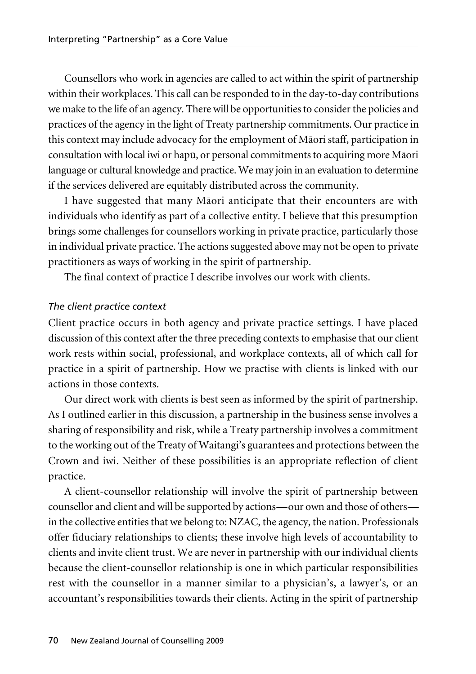Counsellors who work in agencies are called to act within the spirit of partnership within their workplaces. This call can be responded to in the day-to-day contributions we make to the life of an agency. There will be opportunities to consider the policies and practices of the agency in the light of Treaty partnership commitments. Our practice in this context may include advocacy for the employment of Mäori staff, participation in consultation with local iwi or hapü, or personal commitments to acquiring more Mäori language or cultural knowledge and practice. We may join in an evaluation to determine if the services delivered are equitably distributed across the community.

I have suggested that many Mäori anticipate that their encounters are with individuals who identify as part of a collective entity. I believe that this presumption brings some challenges for counsellors working in private practice, particularly those in individual private practice. The actions suggested above may not be open to private practitioners as ways of working in the spirit of partnership.

The final context of practice I describe involves our work with clients.

# *The client practice context*

Client practice occurs in both agency and private practice settings. I have placed discussion of this context after the three preceding contexts to emphasise that our client work rests within social, professional, and workplace contexts, all of which call for practice in a spirit of partnership. How we practise with clients is linked with our actions in those contexts.

Our direct work with clients is best seen as informed by the spirit of partnership. As I outlined earlier in this discussion, a partnership in the business sense involves a sharing of responsibility and risk, while a Treaty partnership involves a commitment to the working out of the Treaty of Waitangi's guarantees and protections between the Crown and iwi. Neither of these possibilities is an appropriate reflection of client practice.

A client-counsellor relationship will involve the spirit of partnership between counsellor and client and will be supported by actions—our own and those of others in the collective entities that we belong to: NZAC, the agency, the nation. Professionals offer fiduciary relationships to clients; these involve high levels of accountability to clients and invite client trust. We are never in partnership with our individual clients because the client-counsellor relationship is one in which particular responsibilities rest with the counsellor in a manner similar to a physician's, a lawyer's, or an accountant's responsibilities towards their clients. Acting in the spirit of partnership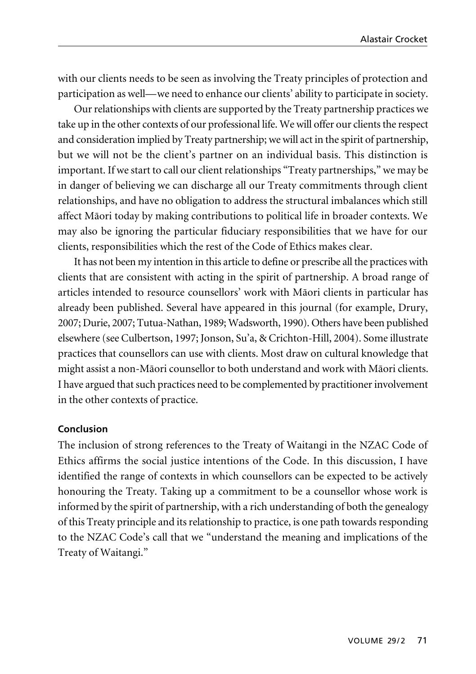with our clients needs to be seen as involving the Treaty principles of protection and participation as well—we need to enhance our clients' ability to participate in society.

Our relationships with clients are supported by the Treaty partnership practices we take up in the other contexts of our professional life. We will offer our clients the respect and consideration implied by Treaty partnership; we will act in the spirit of partnership, but we will not be the client's partner on an individual basis. This distinction is important. If we start to call our client relationships "Treaty partnerships," we may be in danger of believing we can discharge all our Treaty commitments through client relationships, and have no obligation to address the structural imbalances which still affect Mäori today by making contributions to political life in broader contexts. We may also be ignoring the particular fiduciary responsibilities that we have for our clients, responsibilities which the rest of the Code of Ethics makes clear.

It has not been my intention in this article to define or prescribe all the practices with clients that are consistent with acting in the spirit of partnership. A broad range of articles intended to resource counsellors' work with Mäori clients in particular has already been published. Several have appeared in this journal (for example, Drury, 2007; Durie, 2007; Tutua-Nathan, 1989; Wadsworth, 1990). Others have been published elsewhere (see Culbertson, 1997; Jonson, Su'a, & Crichton-Hill, 2004). Some illustrate practices that counsellors can use with clients. Most draw on cultural knowledge that might assist a non-Mäori counsellor to both understand and work with Mäori clients. I have argued that such practices need to be complemented by practitioner involvement in the other contexts of practice.

#### **Conclusion**

The inclusion of strong references to the Treaty of Waitangi in the NZAC Code of Ethics affirms the social justice intentions of the Code. In this discussion, I have identified the range of contexts in which counsellors can be expected to be actively honouring the Treaty. Taking up a commitment to be a counsellor whose work is informed by the spirit of partnership, with a rich understanding of both the genealogy of this Treaty principle and its relationship to practice, is one path towards responding to the NZAC Code's call that we "understand the meaning and implications of the Treaty of Waitangi."